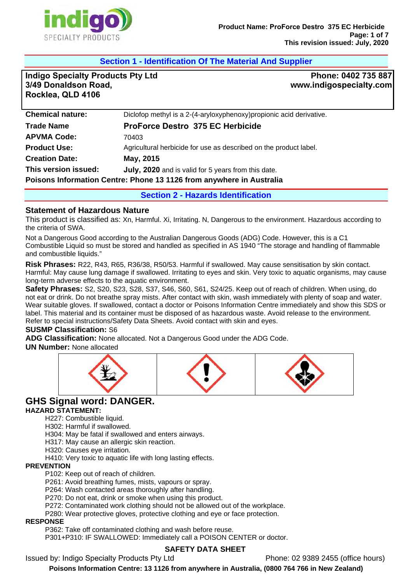

### **Section 1 - Identification Of The Material And Supplier**

**Indigo Specialty Products Pty Ltd 3/49 Donaldson Road, Rocklea, QLD 4106**

**Phone: 0402 735 887 www.indigospecialty.com**

| <b>Chemical nature:</b>                                              | Diclofop methyl is a 2-(4-aryloxyphenoxy)propionic acid derivative. |  |
|----------------------------------------------------------------------|---------------------------------------------------------------------|--|
| <b>Trade Name</b>                                                    | <b>ProForce Destro 375 EC Herbicide</b>                             |  |
| <b>APVMA Code:</b>                                                   | 70403                                                               |  |
| <b>Product Use:</b>                                                  | Agricultural herbicide for use as described on the product label.   |  |
| <b>Creation Date:</b>                                                | May, 2015                                                           |  |
| This version issued:                                                 | July, 2020 and is valid for 5 years from this date.                 |  |
| Poisons Information Centre: Phone 13 1126 from anywhere in Australia |                                                                     |  |
|                                                                      |                                                                     |  |

**Section 2 - Hazards Identification** 

### **Statement of Hazardous Nature**

This product is classified as: Xn, Harmful. Xi, Irritating. N, Dangerous to the environment. Hazardous according to the criteria of SWA.

Not a Dangerous Good according to the Australian Dangerous Goods (ADG) Code. However, this is a C1 Combustible Liquid so must be stored and handled as specified in AS 1940 "The storage and handling of flammable and combustible liquids."

**Risk Phrases:** R22, R43, R65, R36/38, R50/53. Harmful if swallowed. May cause sensitisation by skin contact. Harmful: May cause lung damage if swallowed. Irritating to eyes and skin. Very toxic to aquatic organisms, may cause long-term adverse effects to the aquatic environment.

**Safety Phrases:** S2, S20, S23, S28, S37, S46, S60, S61, S24/25. Keep out of reach of children. When using, do not eat or drink. Do not breathe spray mists. After contact with skin, wash immediately with plenty of soap and water. Wear suitable gloves. If swallowed, contact a doctor or Poisons Information Centre immediately and show this SDS or label. This material and its container must be disposed of as hazardous waste. Avoid release to the environment. Refer to special instructions/Safety Data Sheets. Avoid contact with skin and eyes.

#### **SUSMP Classification:** S6

**ADG Classification:** None allocated. Not a Dangerous Good under the ADG Code.

#### **UN Number:** None allocated



# **GHS Signal word: DANGER.**

#### **HAZARD STATEMENT:**

H227: Combustible liquid.

H302: Harmful if swallowed.

H304: May be fatal if swallowed and enters airways.

H317: May cause an allergic skin reaction.

H320: Causes eye irritation.

H410: Very toxic to aquatic life with long lasting effects.

#### **PREVENTION**

P102: Keep out of reach of children.

P261: Avoid breathing fumes, mists, vapours or spray.

P264: Wash contacted areas thoroughly after handling.

P270: Do not eat, drink or smoke when using this product.

P272: Contaminated work clothing should not be allowed out of the workplace.

P280: Wear protective gloves, protective clothing and eye or face protection.

#### **RESPONSE**

P362: Take off contaminated clothing and wash before reuse.

P301+P310: IF SWALLOWED: Immediately call a POISON CENTER or doctor.

### **SAFETY DATA SHEET**

Issued by: Indigo Specialty Products Pty Ltd Phone: 02 9389 2455 (office hours)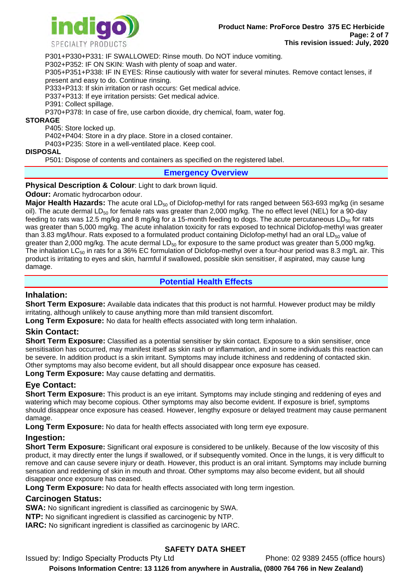

P301+P330+P331: IF SWALLOWED: Rinse mouth. Do NOT induce vomiting.

P302+P352: IF ON SKIN: Wash with plenty of soap and water.

P305+P351+P338: IF IN EYES: Rinse cautiously with water for several minutes. Remove contact lenses, if present and easy to do. Continue rinsing.

P333+P313: If skin irritation or rash occurs: Get medical advice.

P337+P313: If eye irritation persists: Get medical advice.

P391: Collect spillage.

P370+P378: In case of fire, use carbon dioxide, dry chemical, foam, water fog.

#### **STORAGE**

P405: Store locked up.

P402+P404: Store in a dry place. Store in a closed container.

P403+P235: Store in a well-ventilated place. Keep cool.

#### **DISPOSAL**

P501: Dispose of contents and containers as specified on the registered label.

#### **Emergency Overview**

#### **Physical Description & Colour: Light to dark brown liquid.**

**Odour:** Aromatic hydrocarbon odour.

**Major Health Hazards:** The acute oral LD<sub>50</sub> of Diclofop-methyl for rats ranged between 563-693 mg/kg (in sesame oil). The acute dermal LD<sub>50</sub> for female rats was greater than 2,000 mg/kg. The no effect level (NEL) for a 90-day feeding to rats was 12.5 mg/kg and 8 mg/kg for a 15-month feeding to dogs. The acute percutaneous  $LD_{50}$  for rats was greater than 5,000 mg/kg. The acute inhalation toxicity for rats exposed to technical Diclofop-methyl was greater than 3.83 mg/l/hour. Rats exposed to a formulated product containing Diclofop-methyl had an oral  $LD_{50}$  value of greater than 2,000 mg/kg. The acute dermal  $LD_{50}$  for exposure to the same product was greater than 5,000 mg/kg. The inhalation  $LC_{50}$  in rats for a 36% EC formulation of Diclofop-methyl over a four-hour period was 8.3 mg/L air. This product is irritating to eyes and skin, harmful if swallowed, possible skin sensitiser, if aspirated, may cause lung damage.

### **Potential Health Effects**

### **Inhalation:**

**Short Term Exposure:** Available data indicates that this product is not harmful. However product may be mildly irritating, although unlikely to cause anything more than mild transient discomfort.

**Long Term Exposure:** No data for health effects associated with long term inhalation.

### **Skin Contact:**

**Short Term Exposure:** Classified as a potential sensitiser by skin contact. Exposure to a skin sensitiser, once sensitisation has occurred, may manifest itself as skin rash or inflammation, and in some individuals this reaction can be severe. In addition product is a skin irritant. Symptoms may include itchiness and reddening of contacted skin. Other symptoms may also become evident, but all should disappear once exposure has ceased.

**Long Term Exposure:** May cause defatting and dermatitis.

### **Eye Contact:**

**Short Term Exposure:** This product is an eye irritant. Symptoms may include stinging and reddening of eyes and watering which may become copious. Other symptoms may also become evident. If exposure is brief, symptoms should disappear once exposure has ceased. However, lengthy exposure or delayed treatment may cause permanent damage.

**Long Term Exposure:** No data for health effects associated with long term eye exposure.

### **Ingestion:**

**Short Term Exposure:** Significant oral exposure is considered to be unlikely. Because of the low viscosity of this product, it may directly enter the lungs if swallowed, or if subsequently vomited. Once in the lungs, it is very difficult to remove and can cause severe injury or death. However, this product is an oral irritant. Symptoms may include burning sensation and reddening of skin in mouth and throat. Other symptoms may also become evident, but all should disappear once exposure has ceased.

**Long Term Exposure:** No data for health effects associated with long term ingestion.

### **Carcinogen Status:**

**SWA:** No significant ingredient is classified as carcinogenic by SWA.

**NTP:** No significant ingredient is classified as carcinogenic by NTP.

**IARC:** No significant ingredient is classified as carcinogenic by IARC.

### **SAFETY DATA SHEET**

Issued by: Indigo Specialty Products Pty Ltd Phone: 02 9389 2455 (office hours)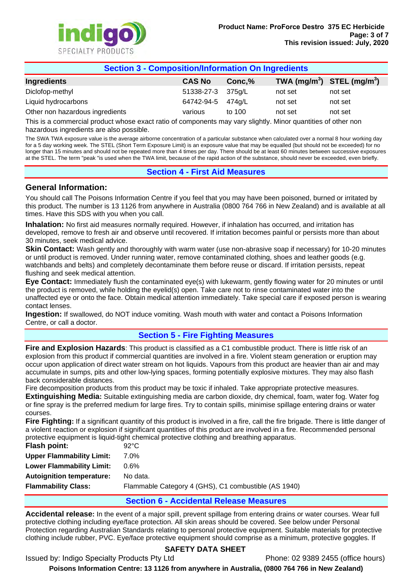

| <b>Section 3 - Composition/Information On Ingredients</b> |                   |        |         |                                |
|-----------------------------------------------------------|-------------------|--------|---------|--------------------------------|
| Ingredients                                               | <b>CAS No</b>     | Conc,% |         | TWA $(mg/m^3)$ STEL $(mg/m^3)$ |
| Diclofop-methyl                                           | 51338-27-3 375g/L |        | not set | not set                        |
| Liquid hydrocarbons                                       | 64742-94-5        | 474a/L | not set | not set                        |
| Other non hazardous ingredients                           | various           | to 100 | not set | not set                        |

This is a commercial product whose exact ratio of components may vary slightly. Minor quantities of other non hazardous ingredients are also possible.

The SWA TWA exposure value is the average airborne concentration of a particular substance when calculated over a normal 8 hour working day for a 5 day working week. The STEL (Short Term Exposure Limit) is an exposure value that may be equalled (but should not be exceeded) for no longer than 15 minutes and should not be repeated more than 4 times per day. There should be at least 60 minutes between successive exposures at the STEL. The term "peak "is used when the TWA limit, because of the rapid action of the substance, should never be exceeded, even briefly.

### **Section 4 - First Aid Measures**

### **General Information:**

You should call The Poisons Information Centre if you feel that you may have been poisoned, burned or irritated by this product. The number is 13 1126 from anywhere in Australia (0800 764 766 in New Zealand) and is available at all times. Have this SDS with you when you call.

**Inhalation:** No first aid measures normally required. However, if inhalation has occurred, and irritation has developed, remove to fresh air and observe until recovered. If irritation becomes painful or persists more than about 30 minutes, seek medical advice.

**Skin Contact:** Wash gently and thoroughly with warm water (use non-abrasive soap if necessary) for 10-20 minutes or until product is removed. Under running water, remove contaminated clothing, shoes and leather goods (e.g. watchbands and belts) and completely decontaminate them before reuse or discard. If irritation persists, repeat flushing and seek medical attention.

**Eye Contact:** Immediately flush the contaminated eye(s) with lukewarm, gently flowing water for 20 minutes or until the product is removed, while holding the eyelid(s) open. Take care not to rinse contaminated water into the unaffected eye or onto the face. Obtain medical attention immediately. Take special care if exposed person is wearing contact lenses.

**Ingestion:** If swallowed, do NOT induce vomiting. Wash mouth with water and contact a Poisons Information Centre, or call a doctor.

### **Section 5 - Fire Fighting Measures**

**Fire and Explosion Hazards**: This product is classified as a C1 combustible product. There is little risk of an explosion from this product if commercial quantities are involved in a fire. Violent steam generation or eruption may occur upon application of direct water stream on hot liquids. Vapours from this product are heavier than air and may accumulate in sumps, pits and other low-lying spaces, forming potentially explosive mixtures. They may also flash back considerable distances.

Fire decomposition products from this product may be toxic if inhaled. Take appropriate protective measures. **Extinguishing Media:** Suitable extinguishing media are carbon dioxide, dry chemical, foam, water fog. Water fog or fine spray is the preferred medium for large fires. Try to contain spills, minimise spillage entering drains or water courses.

**Fire Fighting:** If a significant quantity of this product is involved in a fire, call the fire brigade. There is little danger of a violent reaction or explosion if significant quantities of this product are involved in a fire. Recommended personal protective equipment is liquid-tight chemical protective clothing and breathing apparatus.

| Flash point:                     | $92^{\circ}$ C                                       |
|----------------------------------|------------------------------------------------------|
| <b>Upper Flammability Limit:</b> | 7.0%                                                 |
| <b>Lower Flammability Limit:</b> | $0.6\%$                                              |
| <b>Autoignition temperature:</b> | No data.                                             |
| <b>Flammability Class:</b>       | Flammable Category 4 (GHS), C1 combustible (AS 1940) |

### **Section 6 - Accidental Release Measures**

**Accidental release:** In the event of a major spill, prevent spillage from entering drains or water courses. Wear full protective clothing including eye/face protection. All skin areas should be covered. See below under Personal Protection regarding Australian Standards relating to personal protective equipment. Suitable materials for protective clothing include rubber, PVC. Eye/face protective equipment should comprise as a minimum, protective goggles. If

### **SAFETY DATA SHEET**

Issued by: Indigo Specialty Products Pty Ltd Phone: 02 9389 2455 (office hours)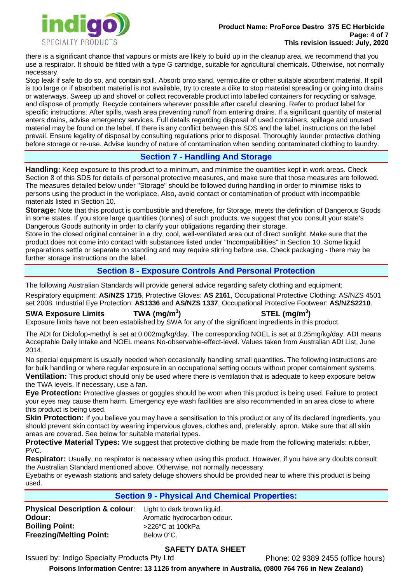

there is a significant chance that vapours or mists are likely to build up in the cleanup area, we recommend that you use a respirator. It should be fitted with a type G cartridge, suitable for agricultural chemicals. Otherwise, not normally necessary.

Stop leak if safe to do so, and contain spill. Absorb onto sand, vermiculite or other suitable absorbent material. If spill is too large or if absorbent material is not available, try to create a dike to stop material spreading or going into drains or waterways. Sweep up and shovel or collect recoverable product into labelled containers for recycling or salvage, and dispose of promptly. Recycle containers wherever possible after careful cleaning. Refer to product label for specific instructions. After spills, wash area preventing runoff from entering drains. If a significant quantity of material enters drains, advise emergency services. Full details regarding disposal of used containers, spillage and unused material may be found on the label. If there is any conflict between this SDS and the label, instructions on the label prevail. Ensure legality of disposal by consulting regulations prior to disposal. Thoroughly launder protective clothing before storage or re-use. Advise laundry of nature of contamination when sending contaminated clothing to laundry.

### **Section 7 - Handling And Storage**

**Handling:** Keep exposure to this product to a minimum, and minimise the quantities kept in work areas. Check Section 8 of this SDS for details of personal protective measures, and make sure that those measures are followed. The measures detailed below under "Storage" should be followed during handling in order to minimise risks to persons using the product in the workplace. Also, avoid contact or contamination of product with incompatible materials listed in Section 10.

**Storage:** Note that this product is combustible and therefore, for Storage, meets the definition of Dangerous Goods in some states. If you store large quantities (tonnes) of such products, we suggest that you consult your state's Dangerous Goods authority in order to clarify your obligations regarding their storage.

Store in the closed original container in a dry, cool, well-ventilated area out of direct sunlight. Make sure that the product does not come into contact with substances listed under "Incompatibilities" in Section 10. Some liquid preparations settle or separate on standing and may require stirring before use. Check packaging - there may be further storage instructions on the label.

### **Section 8 - Exposure Controls And Personal Protection**

The following Australian Standards will provide general advice regarding safety clothing and equipment:

Respiratory equipment: **AS/NZS 1715**, Protective Gloves: **AS 2161**, Occupational Protective Clothing: AS/NZS 4501 set 2008, Industrial Eye Protection: **AS1336** and **AS/NZS 1337**, Occupational Protective Footwear: **AS/NZS2210**.

## **SWA Exposure Limits TWA (mg/m<sup>3</sup>**

### **) STEL (mg/m<sup>3</sup> )**

Exposure limits have not been established by SWA for any of the significant ingredients in this product.

The ADI for Diclofop-methyl is set at 0.002mg/kg/day. The corresponding NOEL is set at 0.25mg/kg/day. ADI means Acceptable Daily Intake and NOEL means No-observable-effect-level. Values taken from Australian ADI List, June 2014.

No special equipment is usually needed when occasionally handling small quantities. The following instructions are for bulk handling or where regular exposure in an occupational setting occurs without proper containment systems. **Ventilation:** This product should only be used where there is ventilation that is adequate to keep exposure below the TWA levels. If necessary, use a fan.

**Eye Protection:** Protective glasses or goggles should be worn when this product is being used. Failure to protect your eyes may cause them harm. Emergency eye wash facilities are also recommended in an area close to where this product is being used.

**Skin Protection:** If you believe you may have a sensitisation to this product or any of its declared ingredients, you should prevent skin contact by wearing impervious gloves, clothes and, preferably, apron. Make sure that all skin areas are covered. See below for suitable material types.

**Protective Material Types:** We suggest that protective clothing be made from the following materials: rubber, PVC.

**Respirator:** Usually, no respirator is necessary when using this product. However, if you have any doubts consult the Australian Standard mentioned above. Otherwise, not normally necessary.

Eyebaths or eyewash stations and safety deluge showers should be provided near to where this product is being used.

### **Section 9 - Physical And Chemical Properties:**

**Physical Description & colour**: Light to dark brown liquid. **Odour: Boiling Point: Freezing/Melting Point:** 

Aromatic hydrocarbon odour. >226°C at 100kPa Below 0°C.

### **SAFETY DATA SHEET**

Issued by: Indigo Specialty Products Pty Ltd

Phone: 02 9389 2455 (office hours)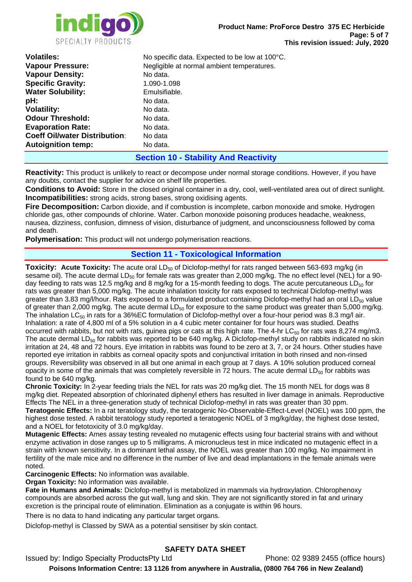

| <b>Volatiles:</b>                    | No specific data. Expected to be low at 100°C. |  |  |
|--------------------------------------|------------------------------------------------|--|--|
| <b>Vapour Pressure:</b>              | Negligible at normal ambient temperatures.     |  |  |
| <b>Vapour Density:</b>               | No data.                                       |  |  |
| <b>Specific Gravity:</b>             | 1.090-1.098                                    |  |  |
| <b>Water Solubility:</b>             | Emulsifiable.                                  |  |  |
| pH:                                  | No data.                                       |  |  |
| <b>Volatility:</b>                   | No data.                                       |  |  |
| <b>Odour Threshold:</b>              | No data.                                       |  |  |
| <b>Evaporation Rate:</b>             | No data.                                       |  |  |
| <b>Coeff Oil/water Distribution:</b> | No data                                        |  |  |
| <b>Autoignition temp:</b>            | No data.                                       |  |  |
|                                      | <b>Section 10 - Stability And Reactivity</b>   |  |  |

**Reactivity:** This product is unlikely to react or decompose under normal storage conditions. However, if you have any doubts, contact the supplier for advice on shelf life properties.

**Conditions to Avoid:** Store in the closed original container in a dry, cool, well-ventilated area out of direct sunlight. **Incompatibilities:** strong acids, strong bases, strong oxidising agents.

**Fire Decomposition:** Carbon dioxide, and if combustion is incomplete, carbon monoxide and smoke. Hydrogen chloride gas, other compounds of chlorine. Water. Carbon monoxide poisoning produces headache, weakness, nausea, dizziness, confusion, dimness of vision, disturbance of judgment, and unconsciousness followed by coma and death.

**Polymerisation:** This product will not undergo polymerisation reactions.

#### **Section 11 - Toxicological Information**

**Toxicity: Acute Toxicity:** The acute oral LD<sub>50</sub> of Diclofop-methyl for rats ranged between 563-693 mg/kg (in sesame oil). The acute dermal  $LD_{50}$  for female rats was greater than 2,000 mg/kg. The no effect level (NEL) for a 90day feeding to rats was 12.5 mg/kg and 8 mg/kg for a 15-month feeding to dogs. The acute percutaneous  $LD_{50}$  for rats was greater than 5,000 mg/kg. The acute inhalation toxicity for rats exposed to technical Diclofop-methyl was greater than 3.83 mg/l/hour. Rats exposed to a formulated product containing Diclofop-methyl had an oral  $LD_{50}$  value of greater than 2,000 mg/kg. The acute dermal  $LD_{50}$  for exposure to the same product was greater than 5,000 mg/kg. The inhalation LC<sub>50</sub> in rats for a 36%EC formulation of Diclofop-methyl over a four-hour period was 8.3 mg/l air. Inhalation: a rate of 4,800 ml of a 5% solution in a 4 cubic meter container for four hours was studied. Deaths occurred with rabbits, but not with rats, guinea pigs or cats at this high rate. The 4-hr  $LC_{50}$  for rats was 8,274 mg/m3. The acute dermal LD<sub>50</sub> for rabbits was reported to be 640 mg/kg. A Diclofop-methyl study on rabbits indicated no skin irritation at 24, 48 and 72 hours. Eye irritation in rabbits was found to be zero at 3, 7, or 24 hours. Other studies have reported eye irritation in rabbits as corneal opacity spots and conjunctival irritation in both rinsed and non-rinsed groups. Reversibility was observed in all but one animal in each group at 7 days. A 10% solution produced corneal opacity in some of the animals that was completely reversible in  $\bar{7}2$  hours. The acute dermal LD<sub>50</sub> for rabbits was found to be 640 mg/kg.

**Chronic Toxicity:** In 2-year feeding trials the NEL for rats was 20 mg/kg diet. The 15 month NEL for dogs was 8 mg/kg diet. Repeated absorption of chlorinated diphenyl ethers has resulted in liver damage in animals. Reproductive Effects The NEL in a three-generation study of technical Diclofop-methyl in rats was greater than 30 ppm. **Teratogenic Effects:** In a rat teratology study, the teratogenic No-Observable-Effect-Level (NOEL) was 100 ppm, the highest dose tested. A rabbit teratology study reported a teratogenic NOEL of 3 mg/kg/day, the highest dose tested,

and a NOEL for fetotoxicity of 3.0 mg/kg/day.

**Mutagenic Effects:** Ames assay testing revealed no mutagenic effects using four bacterial strains with and without enzyme activation in dose ranges up to 5 milligrams. A micronucleus test in mice indicated no mutagenic effect in a strain with known sensitivity. In a dominant lethal assay, the NOEL was greater than 100 mg/kg. No impairment in fertility of the male mice and no difference in the number of live and dead implantations in the female animals were noted.

**Carcinogenic Effects:** No information was available.

**Organ Toxicity:** No information was available.

**Fate in Humans and Animals:** Diclofop-methyl is metabolized in mammals via hydroxylation. Chlorophenoxy compounds are absorbed across the gut wall, lung and skin. They are not significantly stored in fat and urinary excretion is the principal route of elimination. Elimination as a conjugate is within 96 hours.

There is no data to hand indicating any particular target organs.

Diclofop-methyl is Classed by SWA as a potential sensitiser by skin contact.

### **SAFETY DATA SHEET**

Issued by: Indigo Specialty ProductsPty Ltd Phone: 02 9389 2455 (office hours)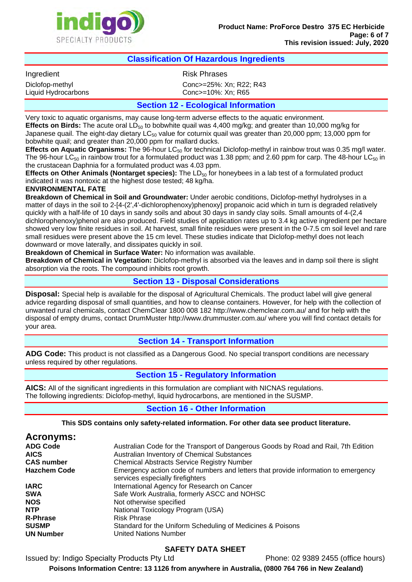

#### **Classification Of Hazardous Ingredients**

Ingredient **Risk Phrases** 

Diclofop-methyl Conc>=25%: Xn; R22; R43 Liquid Hydrocarbons Conc>=10%: Xn; R65

#### **Section 12 - Ecological Information**

Very toxic to aquatic organisms, may cause long-term adverse effects to the aquatic environment. **Effects on Birds:** The acute oral LD<sub>50</sub> to bobwhite quail was 4,400 mg/kg; and greater than 10,000 mg/kg for Japanese quail. The eight-day dietary  $LC_{50}$  value for coturnix quail was greater than 20,000 ppm; 13,000 ppm for bobwhite quail; and greater than 20,000 ppm for mallard ducks.

**Effects on Aquatic Organisms:** The 96-hour LC<sub>50</sub> for technical Diclofop-methyl in rainbow trout was 0.35 mg/l water. The 96-hour LC<sub>50</sub> in rainbow trout for a formulated product was 1.38 ppm; and 2.60 ppm for carp. The 48-hour LC<sub>50</sub> in the crustacean Daphnia for a formulated product was 4.03 ppm.

**Effects on Other Animals (Nontarget species):** The LD<sub>50</sub> for honeybees in a lab test of a formulated product indicated it was nontoxic at the highest dose tested; 48 kg/ha.

#### **ENVIRONMENTAL FATE**

**Breakdown of Chemical in Soil and Groundwater:** Under aerobic conditions, Diclofop-methyl hydrolyses in a matter of days in the soil to 2-[4-(2',4'-dichlorophenoxy)phenoxy] propanoic acid which in turn is degraded relatively quickly with a half-life of 10 days in sandy soils and about 30 days in sandy clay soils. Small amounts of 4-(2,4 dichlorophenoxy)phenol are also produced. Field studies of application rates up to 3.4 kg active ingredient per hectare showed very low finite residues in soil. At harvest, small finite residues were present in the 0-7.5 cm soil level and rare small residues were present above the 15 cm level. These studies indicate that Diclofop-methyl does not leach downward or move laterally, and dissipates quickly in soil.

**Breakdown of Chemical in Surface Water:** No information was available.

**Breakdown of Chemical in Vegetation:** Diclofop-methyl is absorbed via the leaves and in damp soil there is slight absorption via the roots. The compound inhibits root growth.

### **Section 13 - Disposal Considerations**

**Disposal:** Special help is available for the disposal of Agricultural Chemicals. The product label will give general advice regarding disposal of small quantities, and how to cleanse containers. However, for help with the collection of unwanted rural chemicals, contact ChemClear 1800 008 182 http://www.chemclear.com.au/ and for help with the disposal of empty drums, contact DrumMuster http://www.drummuster.com.au/ where you will find contact details for your area.

### **Section 14 - Transport Information**

**ADG Code:** This product is not classified as a Dangerous Good. No special transport conditions are necessary unless required by other regulations.

### **Section 15 - Regulatory Information**

**AICS:** All of the significant ingredients in this formulation are compliant with NICNAS regulations. The following ingredients: Diclofop-methyl, liquid hydrocarbons, are mentioned in the SUSMP.

### **Section 16 - Other Information**

**This SDS contains only safety-related information. For other data see product literature.** 

| <b>Acronyms:</b>    |                                                                                                                        |
|---------------------|------------------------------------------------------------------------------------------------------------------------|
| <b>ADG Code</b>     | Australian Code for the Transport of Dangerous Goods by Road and Rail, 7th Edition                                     |
| <b>AICS</b>         | Australian Inventory of Chemical Substances                                                                            |
| <b>CAS number</b>   | <b>Chemical Abstracts Service Registry Number</b>                                                                      |
| <b>Hazchem Code</b> | Emergency action code of numbers and letters that provide information to emergency<br>services especially firefighters |
| <b>IARC</b>         | International Agency for Research on Cancer                                                                            |
| <b>SWA</b>          | Safe Work Australia, formerly ASCC and NOHSC                                                                           |
| <b>NOS</b>          | Not otherwise specified                                                                                                |
| <b>NTP</b>          | National Toxicology Program (USA)                                                                                      |
| <b>R-Phrase</b>     | <b>Risk Phrase</b>                                                                                                     |
| <b>SUSMP</b>        | Standard for the Uniform Scheduling of Medicines & Poisons                                                             |
| <b>UN Number</b>    | <b>United Nations Number</b>                                                                                           |

### **SAFETY DATA SHEET**

Issued by: Indigo Specialty Products Pty Ltd Phone: 02 9389 2455 (office hours)